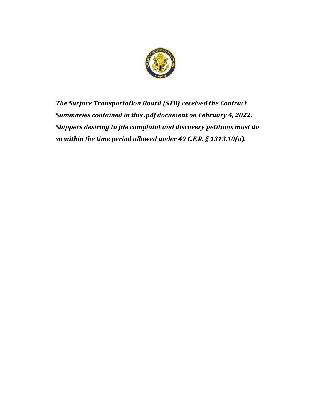

*The Surface Transportation Board (STB) received the Contract Summaries contained in this .pdf document on February 4, 2022. Shippers desiring to file complaint and discovery petitions must do so within the time period allowed under 49 C.F.R. § 1313.10(a).*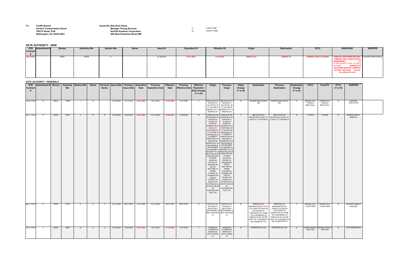**To: Tariffs Branch Issued By:Rae-Anne Sharp**

## **Surface Transportation Board Manager Pricing Services Manager Pricing Services Manager Pricing Services 11 1925 K Street, N.W. Norfolk Southern Corporation** 20 SHORT FORM **Washington, DC 20423-0001 650 West Peachtree Street NW**

| <b>RATE AUTHORITY - NEW</b> |  |
|-----------------------------|--|
|-----------------------------|--|

| <b>RATE AUTHORITY - RENEWALS</b><br>STB   Amendment #   Bureau   Authority   Section Nbr  <br>Previous   Issue Date   Previous   Expiration |      |      |       |     |               |               |            |                       |                       |                                           |                          |                                                         |                                                               |                                                                                                                                                                                                                                                                                                                                                                                                                                                                                                                                                                                                                                                                                                              |                                                                                                                                                                                                                                                                                                                                                                                                    |                                         |                                                                                                                                                                             |                                                                                                                                                                                                                     |                                                     |                                            |                                           |                                    |                                         |
|---------------------------------------------------------------------------------------------------------------------------------------------|------|------|-------|-----|---------------|---------------|------------|-----------------------|-----------------------|-------------------------------------------|--------------------------|---------------------------------------------------------|---------------------------------------------------------------|--------------------------------------------------------------------------------------------------------------------------------------------------------------------------------------------------------------------------------------------------------------------------------------------------------------------------------------------------------------------------------------------------------------------------------------------------------------------------------------------------------------------------------------------------------------------------------------------------------------------------------------------------------------------------------------------------------------|----------------------------------------------------------------------------------------------------------------------------------------------------------------------------------------------------------------------------------------------------------------------------------------------------------------------------------------------------------------------------------------------------|-----------------------------------------|-----------------------------------------------------------------------------------------------------------------------------------------------------------------------------|---------------------------------------------------------------------------------------------------------------------------------------------------------------------------------------------------------------------|-----------------------------------------------------|--------------------------------------------|-------------------------------------------|------------------------------------|-----------------------------------------|
| <b>Contract</b>                                                                                                                             |      |      | Nbr   |     | <b>Series</b> | <b>Series</b> |            | <b>Issue Date</b>     | <b>Date</b>           | <b>Previous</b><br><b>Expiration Date</b> | <b>Effective</b><br>Date | <b>Previous</b><br><b>Effective Date / / Expiration</b> | <b>Effective</b><br><b>Date Change</b><br>$(Y \text{ or } N)$ | Origin                                                                                                                                                                                                                                                                                                                                                                                                                                                                                                                                                                                                                                                                                                       | <b>Previous</b><br>Origin                                                                                                                                                                                                                                                                                                                                                                          | Origin<br>Change<br>$(Y \text{ or } N)$ | <b>Destination</b>                                                                                                                                                          | <b>Previous</b><br><b>Destination</b>                                                                                                                                                                               | <b>Destination</b><br>Change<br>$(Y \text{ or } N)$ | <b>STCC</b>                                | <b>PrevSTC</b>                            | <b>STCC</b><br>$(Y \text{ or } N)$ | <b>SHIPPER</b>                          |
| <b>NS-C-1708</b>                                                                                                                            | - 13 | NSCQ | 17688 |     | A.            |               | 01-24-2022 | 10-12-2021            | 03-31-2022            | 12-31-2021                                | 01-01-2022               | 10-01-2021                                              | $\mathbf{Y}$                                                  | BELLEVUE OH   BELLEVUE OH<br>CHICAGO IL<br>CLAYPOOL IN CLAYPOOL IN<br>FT WAYNE IN FT WAYNE IN<br>GIBSON CITY IL GIBSON CITY II<br>MARION OH                                                                                                                                                                                                                                                                                                                                                                                                                                                                                                                                                                  | CHICAGO IL<br><b>MARION OH</b>                                                                                                                                                                                                                                                                                                                                                                     | N.                                      | HAGERSTMAUGANSV<br>MD                                                                                                                                                       | HAGERSTMAUGANSV<br>MD                                                                                                                                                                                               | N.                                                  | 2092300 SOY-<br>CANOLA<br><b>MEAL/HULL</b> | 2092300 SOY<br>CANOLA<br><b>MEAL/HULL</b> | N                                  | MARTINS<br><b>ELEVATOR</b>              |
| <b>NS-C-1702A</b>                                                                                                                           | - 13 | NSSC | 10913 | - 2 | S.            |               | 01-25-2022 | 12-20-2021            | 03-31-2022            | 03-31-2022                                | 12-20-2021               | 12-20-2021                                              | N.                                                            | ASHVILLE OH   ASHVILLE OH<br>BLISSFIELD MI   BLISSFIELD M<br>CHICAGO IL<br>CLYDE OH<br>DYER OH<br>EDGERTON IN EDGERTON IN<br><b>EDON OH</b><br>FOSTORIA OH   FT WAYNE IN<br>FT WAYNE IN   GRIGGSVILLE<br>GRIGGSVILLE<br>IL HOMER IL<br>KINGSTON OH<br><b>MALDEN IN</b><br>MANSFIELD OH<br>MAUGANSVIL   MD MAUMEE<br>MD MAUMEE   OH MILMINE IL<br>OH MILMINE IL   MONNETTE OH<br>MONNETTE OH MONTPELIER IN<br>MONTPELIER IN MONTPELIER<br><b>MONTPELIER</b><br>OH NEW<br><b>HAVEN IN</b><br>PAYNE OH<br><b>READING MI</b><br>SOUTH<br>MILFORD IN<br>TERRE<br>COUPEE IN<br>THOMASTON<br>CKIN IN<br>TOLEDO OH  <br>WALDO OH<br>WATERLOO IN WHITE PIGEON<br><b>WHITE PIGEON</b><br>- MI<br>WINCHESTER<br>CCET OH | CHICAGO IL<br><b>CLYDE OH</b><br>DYER OH<br><b>FOSTORIA OH</b><br>IL HOMER IL<br>KINGSTON OH<br><b>MALDEN IN</b><br>MANSFIELD OH<br>MAUGANSVIL<br>OH NEW<br>HAVEN IN<br>PAYNE OH<br><b>READING MI</b><br>SOUTH<br><b>MILFORD IN</b><br>TERRE<br><b>COUPEE IN</b><br><b>THOMASTON</b><br><b>CKIN IN</b><br>TOLEDO OH<br>WALDO OH<br><b>WATERLOO IN</b><br><b>MI</b><br><b>WINCHESTER</b><br>CCET OH |                                         | <b>BELLEVUE OH</b><br>DECATUR AL EAST ST   DECATUR AL EAST ST                                                                                                               | BELLEVUE OH<br>LOUIS IL FT WAYNE IN   LOUIS IL FT WAYNE IN                                                                                                                                                          |                                                     | 0114400                                    | 0114400                                   | N                                  | <b>BUNGE NORTH</b><br><b>AMERICA</b>    |
| <b>NS-C-1701H</b>                                                                                                                           |      | NSSC | 13727 | - 9 | Q             | P.            | 01-27-2022 | 08-01-2021 07-31-2022 |                       | 07-31-2022                                | 08-01-2021               | 08-01-2021                                              | N.                                                            | BUFFALO NY BUFFALO NY<br>CHICAGO IL<br>DES MOINES IA DES MOINES IA<br>NEW ORLEANS NEW ORLEANS<br>LA                                                                                                                                                                                                                                                                                                                                                                                                                                                                                                                                                                                                          | CHICAGO IL<br>DECATUR IL DECATUR IL<br>LA                                                                                                                                                                                                                                                                                                                                                          | N                                       | <b>BERWICK PA</b><br><b>BINGHAMTON NY CLAY</b><br><b>VA CONSTITUTION GA</b><br>KATHLEEN GA<br>KIRKWOOD NY LINDE<br>TN LYNCHBURG VA<br>PINEVILLE NC SAYRE<br>WILLIAMSPORT PA | <b>BERWICK PA</b><br><b>BINGHAMTON NY</b><br><b>CONSTITUTION GA</b><br><b>KATHLEEN GA</b><br>KIRKWOOD NY LINDE<br>TN LYNCHBURG VA<br>PINEVILLE NC SAYRE<br>LRWY PA TOWANDA PA LRWY PA TOWANDA PA<br>WILLIAMSPORT PA |                                                     | 2000000 OILS,<br>FOOD PREP                 | 2000000 OILS,<br>FOOD PREP                | <b>N</b>                           | <b>ARCHER DANIELS</b><br><b>MIDLAND</b> |
| <b>NS-C-203M</b>                                                                                                                            |      | NSSC | 16537 | 14  | D             |               | 01-24-2022 |                       | 10-20-2021 03-31-2022 | 12-31-2021                                | 01-01-2022               | 10-01-2021                                              | <b>Y</b>                                                      | <b>ALBION MI</b><br><b>CLYMERS IN</b><br><b>MARION IN</b><br>SOUTH BEND SOUTH BEND<br>IN                                                                                                                                                                                                                                                                                                                                                                                                                                                                                                                                                                                                                     | <b>ALBION MI</b><br><b>CLYMERS IN</b><br><b>MARION IN</b><br>IN                                                                                                                                                                                                                                                                                                                                    | N.                                      | <b>BOWERSVILLE GA</b>                                                                                                                                                       | <b>BOWERSVILLE GA</b>                                                                                                                                                                                               |                                                     | 2030000 DDGS & 2030000 DDGS<br>RELATED     | RELATED                                   |                                    | THE ANDERSONS                           |

| Contract                       | STB Amendment#<br><b>Bureau</b> | <b>Authority Nbr</b> | <b>Section Nbr</b> | <b>Series</b> | <b>Issue Dt</b> | <b>Expiration Dt</b> | <b>Effective Dt</b> | Origin             | <b>Destination</b> | <b>STCC</b>                       | <b>RAILROAD</b>                                                                                                                                                                                                                                                                       | <b>SHIPPER</b> |
|--------------------------------|---------------------------------|----------------------|--------------------|---------------|-----------------|----------------------|---------------------|--------------------|--------------------|-----------------------------------|---------------------------------------------------------------------------------------------------------------------------------------------------------------------------------------------------------------------------------------------------------------------------------------|----------------|
| $\bm{\pi}$<br><b>NS-C-630J</b> | <b>NSSC</b>                     | 82079                |                    |               | 01-28-2022      | 03-31-2022           | 01-01-2022          | <b>DANVILLE IL</b> | <b>LAREDO TX</b>   | <b>2040000 FLOUR &amp; CLEARS</b> | <b>NORFOLK SOUTHERN RAILWAY LAUHOFF/CRETE MILLS</b><br><b>COMPANY AND CONSOLIDATED</b><br><b>SUBSIDIARIES</b><br><b>OOU</b><br>W PEACHTREE ST NW, ATLANTA,<br><b>KANSAS CITY</b><br>GA 30308<br><b>SOUTHERN RAILWAY COMPANY</b><br>427 West 12th Street Kansas<br>City, MO 64121-9335 |                |

## **RATE AUTHORITY DENEWALS**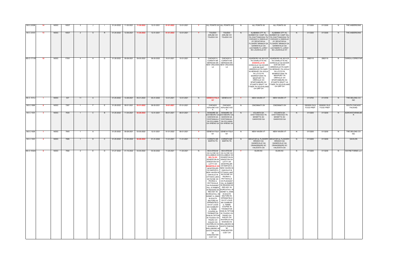| <b>NS-C-203B</b>  | 14              | <b>NSSC</b> | 16537 |                |              |    | 01-24-2022 | 11-30-2021            | 11-30-2022 | 12-31-2021 | 01-01-2022 | 12-01-2021 |          |                                                                                                                                                                                                                                                                                                                                              | ALL POINTS XX ALL POINTS XX                                                                                                                                                                                                                                                                                                                                                                                                                                                                                                                                                                                                                                                                                                                                                                                                                           |          | ALL POINTS XX                                                                                                                                                                                                                                                                         | ALL POINTS XX                                                                                                                                                                                                                                                                                           | - N | 0113300                     | 0113300                     | -N | THE ANDERSONS                   |
|-------------------|-----------------|-------------|-------|----------------|--------------|----|------------|-----------------------|------------|------------|------------|------------|----------|----------------------------------------------------------------------------------------------------------------------------------------------------------------------------------------------------------------------------------------------------------------------------------------------------------------------------------------------|-------------------------------------------------------------------------------------------------------------------------------------------------------------------------------------------------------------------------------------------------------------------------------------------------------------------------------------------------------------------------------------------------------------------------------------------------------------------------------------------------------------------------------------------------------------------------------------------------------------------------------------------------------------------------------------------------------------------------------------------------------------------------------------------------------------------------------------------------------|----------|---------------------------------------------------------------------------------------------------------------------------------------------------------------------------------------------------------------------------------------------------------------------------------------|---------------------------------------------------------------------------------------------------------------------------------------------------------------------------------------------------------------------------------------------------------------------------------------------------------|-----|-----------------------------|-----------------------------|----|---------------------------------|
| <b>NS-C-203D</b>  | 13              | <b>NSSC</b> | 16537 | $\overline{2}$ | S.           |    | 01-24-2022 | 12-09-2021            | 11-30-2022 | 12-31-2021 | 01-01-2022 | 12-01-2021 | <b>Y</b> | TOLEDO<br><b>AIRLINE OH</b><br>TOLEDO OH                                                                                                                                                                                                                                                                                                     | TOLEDO<br>AIRLINE OH<br>TOLEDO OH                                                                                                                                                                                                                                                                                                                                                                                                                                                                                                                                                                                                                                                                                                                                                                                                                     | N        | ALABAMA CITY AL<br><b>BARBER NC CAMP HILL</b><br>KY DECATUR AL<br>FLOWERY BRANCH GA<br><b>GAINESVILLE GA</b><br>LACYMARK FL LORAY<br>NC LOUISVILLE KY                                                                                                                                 | ALABAMA CITY AL<br><b>BARBER NC CAMP HILL</b><br>PA CHATTANOOGA TN   PA CHATTANOOGA TN<br>CHICAGO IL DANVILLE   CHICAGO IL DANVILLE<br>KY DECATUR AL<br>FLOWERY BRANCH GA<br><b>GAINESVILLE GA</b><br>LACYMARK FL LORAY<br>NC LOUISVILLE KY                                                             | N.  | 0113300                     | 0113300                     | N  | THE ANDERSONS                   |
| <b>NS-C-1711B</b> | 10 <sup>1</sup> | NSSC        | 17051 | $\sim$ 4       | H            | G) | 01-28-2022 | 09-28-2021            | 09-30-2022 | 09-30-2022 | 10-01-2021 | 10-01-2021 | N        | CHICAGO IL<br><b>CORINTH MS</b><br>LA                                                                                                                                                                                                                                                                                                        | <b>CHICAGO IL</b><br><b>CORINTH MS</b><br>MERIDIAN MS   MERIDIAN MS<br>NEW ORLEANS NEW ORLEANS<br>LA                                                                                                                                                                                                                                                                                                                                                                                                                                                                                                                                                                                                                                                                                                                                                  | N        | TN CHARLOTTE NC<br><b>DODDVILLE SC</b><br>DORAVILLE GA DOVER<br>DCR DE EAST<br><b>GREENVILLE PA GARY</b><br>IN HERSHEY PA LEOLA<br>PA LITITZ PA<br><b>MORRISTOWN TN</b><br>NEWPORT TN<br>ORRVILLE OH<br>SPARTANBURG SC<br>STUARTS DRAFT VA<br><b>TYNER TN XCLEVELAND</b><br>OH GRP OH | ASHEBORO NC BOYCE   ASHEBORO NC BOYCE<br>TN CHARLOTTE NC<br>DORAVILLE GA DOVER<br>DCR DE EAST<br><b>GREENVILLE PA GARY</b><br>IN HERSHEY PA LEOLA<br>PA LITITZ PA<br><b>MORRISTOWN TN</b><br>NEWPORT TN<br>ORRVILLE OH<br>SPARTANBURG SC<br>STUARTS DRAFT VA<br><b>TYNER TN XCLEVELAND</b><br>OH GRP OH |     | 2062110                     | 2062110                     | N. | <b>CARGILL/CERESTAR</b>         |
| <b>NS-C-1610J</b> |                 | <b>NSSC</b> | 537   | 11             | A            |    | 01-25-2022 | 12-29-2021            | 05-31-2022 | 05-31-2022 | 12-01-2021 | 12-01-2021 | N        | <b>GENEVA FGLK</b><br><b>NY</b>                                                                                                                                                                                                                                                                                                              | <b>GENEVA NY</b>                                                                                                                                                                                                                                                                                                                                                                                                                                                                                                                                                                                                                                                                                                                                                                                                                                      | <b>Y</b> | <b>NEW HAVEN VT</b>                                                                                                                                                                                                                                                                   | NEW HAVEN VT                                                                                                                                                                                                                                                                                            | N,  | 0113700                     | 0113700                     | N. | THE DELONG CO<br><b>INC</b>     |
| <b>NS-C-1898</b>  |                 | NSSC        | 7267  |                |              |    | 01-28-2022 | 08-01-2021            | 03-31-2022 | 09-30-2021 | 10-01-2021 | 07-01-2021 |          | CHICAGO                                                                                                                                                                                                                                                                                                                                      | CHICAGO<br>ASHLAND AVE ASHLAND AVE                                                                                                                                                                                                                                                                                                                                                                                                                                                                                                                                                                                                                                                                                                                                                                                                                    | N.       | CINCINNATI OH                                                                                                                                                                                                                                                                         | <b>CINCINNATI OH</b>                                                                                                                                                                                                                                                                                    | N   | 2000000 OILS,<br>FOOD PREP. | 2000000 OILS,<br>FOOD PREP. | N. | SOUTH CHICAGO<br><b>PACKING</b> |
| NS-C-1925         | - 3             | <b>NSSC</b> | 7630  |                | $\mathbf{C}$ |    | 01-25-2022 | 11-04-2021            | 02-28-2022 | 12-31-2021 | 09-01-2021 | 09-01-2021 |          |                                                                                                                                                                                                                                                                                                                                              | BONAIRE GA   BONAIRE GA<br>DAVISBORO GA DAVISBORO GA<br>DAWSON GA   DAWSON GA<br>OOSTANAULA OOSTANAULA<br>GA SYLVANIA GA SYLVANIA<br>GA WRENS GA GA WRENS GA                                                                                                                                                                                                                                                                                                                                                                                                                                                                                                                                                                                                                                                                                          | N.       | ATLANTA GA<br>CHATTANOOGA TN<br>MONETTA SC<br>OAKWOOD GA                                                                                                                                                                                                                              | ATLANTA GA<br>CHATTANOOGA TN<br>MONETTA SC<br>OAKWOOD GA                                                                                                                                                                                                                                                | N.  | 0113200                     | 0113200                     | -N | AGROWSTAR/MILNE<br>R            |
| <b>NS-C-1928</b>  |                 | NSSC        | 7643  | $\blacksquare$ | A.           |    | 01-25-2022 | 09-28-2021            | 03-30-2022 | 12-31-2021 | 01-01-2022 | 09-01-2021 | <b>Y</b> | <b>NY</b>                                                                                                                                                                                                                                                                                                                                    | GENEVA FGLK GENEVA FGLK<br>NY                                                                                                                                                                                                                                                                                                                                                                                                                                                                                                                                                                                                                                                                                                                                                                                                                         | N.       | NEW HAVEN VT                                                                                                                                                                                                                                                                          | NEW HAVEN VT                                                                                                                                                                                                                                                                                            | N.  | 0113200                     | 0113200                     | N. | THE DELONG CO<br><b>INC</b>     |
| NS-C-1920         | $\overline{4}$  | NSSC        | 7685  | $\sim$ 1       | D            | C. |            | 01-25-2022 01-20-2022 | 02-28-2022 | 01-31-2022 | 11-01-2021 | 11-01-2021 | <b>Y</b> | CORINTH MS<br><b>MARTIN TN</b>                                                                                                                                                                                                                                                                                                               | <b>CORINTH MS</b><br><b>MARTIN TN</b>                                                                                                                                                                                                                                                                                                                                                                                                                                                                                                                                                                                                                                                                                                                                                                                                                 | N.       | <b>BRANCH GA</b><br><b>GAINESVILLE GA</b><br>ORANGEBURG SC<br>VALDOSTA GA                                                                                                                                                                                                             | DECATUR AL FLOWERY DECATUR AL FLOWERY<br><b>BRANCH GA</b><br><b>GAINESVILLE GA</b><br>ORANGEBURG SC<br>VALDOSTA GA                                                                                                                                                                                      | N   | 0113200                     | 0113200                     | N. | <b>GAVILON</b>                  |
| <b>NS-C-1932A</b> | - 5             | NSSC        | 7692  | $\overline{2}$ | <b>E</b>     | D  | 01-27-2022 | 01-19-2022            | 03-30-2022 | 03-30-2022 | 11-20-2021 | 11-20-2021 | N.       | KINGSTON OH LATTY OH<br>OTTAWA LAKE PEORIA IL<br>HILL IA RABER   RED KEY IN<br>SCIRCLEVILL IN IN SOUTH<br>IN SOUTH  <br>MILFORD IN  <br>SPRINGFIELD<br>OH ST LOUIS<br>MO SUNBURY  <br>IL TERRE<br><b>CKIN IN TIPTON</b><br>IN TOLEDO OH<br>TRURO OH<br>WALDO OH<br><b>WELLSBORO IN</b><br>WHITE PIGEON<br>MI<br><b>WINCHESTER</b><br>CCET OH | BEAVERDAM BEAVERDAM<br>OH CLYDE OH   OH CLYDE OH<br>COLUMBUS OH COLUMBUS OH<br><b>DELTA OH EDGERTON IN</b><br>EDGERTON IN   KINGSTON OH<br>LATTY OH   MONTPELIER<br><b>MANSFIELD OH OH NAPLES IL</b><br>MONTPELIER NEW HAVEN IN<br>OH NAPLES IL   OAKVILLE IN<br>NEW HAVEN IN OTTAWA LAKE<br>OAKVILLE IN   MI PAYNE OH<br>MI PAYNE OH   PETTISVILLE<br>PEORIA IL   OH PLEASANT<br>PETTISVILLE   HILL IA RABER<br>OH PLEASANT   IN READING MI<br>IN READING MI SCIRCLEVILL IN<br>RED KEY IN SIDNEY IL SIMS<br>SIDNEY IL SIMS MILFORD IN<br>SPRINGFIELD<br>OH ST LOUIS<br>MO SUNBURY<br><b>IL TERRE</b><br><b>COUPEE IN</b><br>THOMASTON<br>COUPEE IN CKIN IN TIPTON<br>THOMASTON   IN TOLEDO OH<br>TRURO OH<br>WALDO OH<br><b>WATERLOO IN</b><br>WAWAKA IN<br>WATERLOO IN WELLSBORO IN<br>WAWAKA IN WHITE PIGEON<br>MI<br><b>WINCHESTER</b><br>CCET OH | <b>Y</b> | <b>ELKIN NC</b>                                                                                                                                                                                                                                                                       | <b>ELKIN NC</b>                                                                                                                                                                                                                                                                                         | N   | 0113200                     | 0113200                     | N. | <b>WAYNE FARMS LLC</b>          |